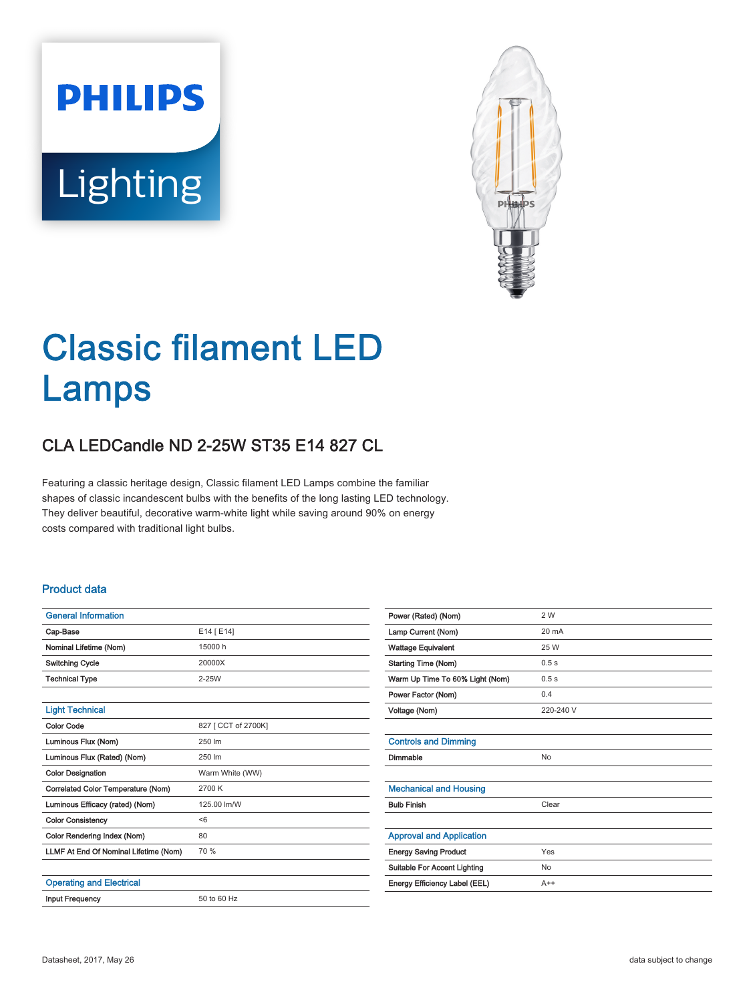# **PHILIPS** Lighting



## Classic filament LED Lamps

### CLA LEDCandle ND 2-25W ST35 E14 827 CL

Featuring a classic heritage design, Classic filament LED Lamps combine the familiar shapes of classic incandescent bulbs with the benefits of the long lasting LED technology. They deliver beautiful, decorative warm-white light while saving around 90% on energy costs compared with traditional light bulbs.

#### Product data

| <b>General Information</b>            |                     |
|---------------------------------------|---------------------|
| Cap-Base                              | E14 [ E14]          |
| Nominal Lifetime (Nom)                | 15000 h             |
| <b>Switching Cycle</b>                | 20000X              |
| <b>Technical Type</b>                 | $2-25W$             |
|                                       |                     |
| <b>Light Technical</b>                |                     |
| <b>Color Code</b>                     | 827 [ CCT of 2700K] |
| Luminous Flux (Nom)                   | 250 lm              |
| Luminous Flux (Rated) (Nom)           | 250 lm              |
| <b>Color Designation</b>              | Warm White (WW)     |
| Correlated Color Temperature (Nom)    | 2700 K              |
| Luminous Efficacy (rated) (Nom)       | 125.00 lm/W         |
| <b>Color Consistency</b>              | < 6                 |
| Color Rendering Index (Nom)           | 80                  |
| LLMF At End Of Nominal Lifetime (Nom) | 70 %                |
|                                       |                     |
| <b>Operating and Electrical</b>       |                     |
| <b>Input Frequency</b>                | 50 to 60 Hz         |
|                                       |                     |

| Power (Rated) (Nom)                 | 2 W             |
|-------------------------------------|-----------------|
| Lamp Current (Nom)                  | $20 \text{ mA}$ |
| <b>Wattage Equivalent</b>           | 25 W            |
| <b>Starting Time (Nom)</b>          | 0.5s            |
| Warm Up Time To 60% Light (Nom)     | 0.5s            |
| Power Factor (Nom)                  | 0.4             |
| Voltage (Nom)                       | 220-240 V       |
|                                     |                 |
| <b>Controls and Dimming</b>         |                 |
| Dimmable                            | No              |
|                                     |                 |
| <b>Mechanical and Housing</b>       |                 |
| <b>Bulb Finish</b>                  | Clear           |
|                                     |                 |
| <b>Approval and Application</b>     |                 |
| <b>Energy Saving Product</b>        | Yes             |
| <b>Suitable For Accent Lighting</b> | <b>No</b>       |
| Energy Efficiency Label (EEL)       | $A++$           |
|                                     |                 |